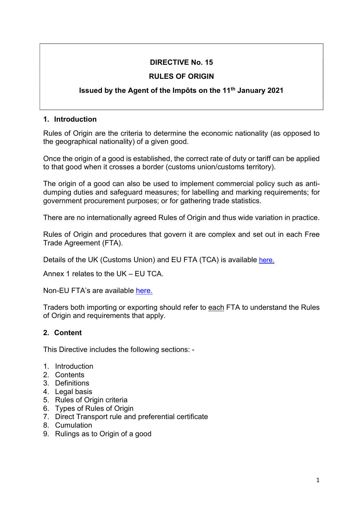## DIRECTIVE No. 15

## RULES OF ORIGIN

## Issued by the Agent of the Impôts on the 11th January 2021

### 1. Introduction

Rules of Origin are the criteria to determine the economic nationality (as opposed to the geographical nationality) of a given good.

Once the origin of a good is established, the correct rate of duty or tariff can be applied to that good when it crosses a border (customs union/customs territory).

The origin of a good can also be used to implement commercial policy such as antidumping duties and safeguard measures; for labelling and marking requirements; for government procurement purposes; or for gathering trade statistics.

There are no internationally agreed Rules of Origin and thus wide variation in practice.

Rules of Origin and procedures that govern it are complex and set out in each Free Trade Agreement (FTA).

Details of the UK (Customs Union) and EU FTA (TCA) is available here.

Annex 1 relates to the UK – EU TCA.

Non-EU FTA's are available here.

Traders both importing or exporting should refer to each FTA to understand the Rules of Origin and requirements that apply.

### 2. Content

This Directive includes the following sections: -

- 1. Introduction
- 2. Contents
- 3. Definitions
- 4. Legal basis
- 5. Rules of Origin criteria
- 6. Types of Rules of Origin
- 7. Direct Transport rule and preferential certificate
- 8. Cumulation
- 9. Rulings as to Origin of a good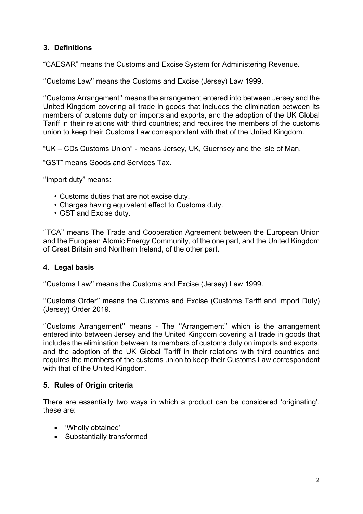## 3. Definitions

"CAESAR" means the Customs and Excise System for Administering Revenue.

''Customs Law'' means the Customs and Excise (Jersey) Law 1999.

''Customs Arrangement'' means the arrangement entered into between Jersey and the United Kingdom covering all trade in goods that includes the elimination between its members of customs duty on imports and exports, and the adoption of the UK Global Tariff in their relations with third countries; and requires the members of the customs union to keep their Customs Law correspondent with that of the United Kingdom.

"UK – CDs Customs Union" - means Jersey, UK, Guernsey and the Isle of Man.

"GST" means Goods and Services Tax.

''import duty" means:

- Customs duties that are not excise duty.
- Charges having equivalent effect to Customs duty.
- GST and Excise duty.

''TCA'' means The Trade and Cooperation Agreement between the European Union and the European Atomic Energy Community, of the one part, and the United Kingdom of Great Britain and Northern Ireland, of the other part.

#### 4. Legal basis

''Customs Law'' means the Customs and Excise (Jersey) Law 1999.

''Customs Order'' means the Customs and Excise (Customs Tariff and Import Duty) (Jersey) Order 2019.

"Customs Arrangement" means - The "Arrangement" which is the arrangement entered into between Jersey and the United Kingdom covering all trade in goods that includes the elimination between its members of customs duty on imports and exports, and the adoption of the UK Global Tariff in their relations with third countries and requires the members of the customs union to keep their Customs Law correspondent with that of the United Kingdom.

#### 5. Rules of Origin criteria

There are essentially two ways in which a product can be considered 'originating', these are:

- 'Wholly obtained'
- Substantially transformed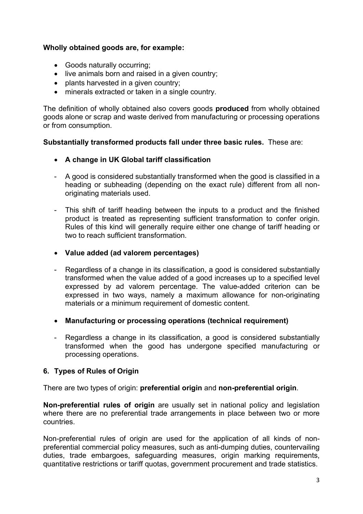### Wholly obtained goods are, for example:

- Goods naturally occurring;
- live animals born and raised in a given country;
- plants harvested in a given country;
- minerals extracted or taken in a single country.

The definition of wholly obtained also covers goods **produced** from wholly obtained goods alone or scrap and waste derived from manufacturing or processing operations or from consumption.

#### Substantially transformed products fall under three basic rules. These are:

- A change in UK Global tariff classification
- A good is considered substantially transformed when the good is classified in a heading or subheading (depending on the exact rule) different from all nonoriginating materials used.
- This shift of tariff heading between the inputs to a product and the finished product is treated as representing sufficient transformation to confer origin. Rules of this kind will generally require either one change of tariff heading or two to reach sufficient transformation.
- Value added (ad valorem percentages)
- Regardless of a change in its classification, a good is considered substantially transformed when the value added of a good increases up to a specified level expressed by ad valorem percentage. The value-added criterion can be expressed in two ways, namely a maximum allowance for non-originating materials or a minimum requirement of domestic content.
- Manufacturing or processing operations (technical requirement)
- Regardless a change in its classification, a good is considered substantially transformed when the good has undergone specified manufacturing or processing operations.

### 6. Types of Rules of Origin

There are two types of origin: preferential origin and non-preferential origin.

Non-preferential rules of origin are usually set in national policy and legislation where there are no preferential trade arrangements in place between two or more countries.

Non-preferential rules of origin are used for the application of all kinds of nonpreferential commercial policy measures, such as anti-dumping duties, countervailing duties, trade embargoes, safeguarding measures, origin marking requirements, quantitative restrictions or tariff quotas, government procurement and trade statistics.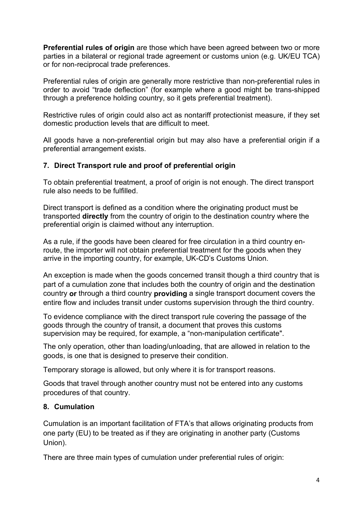Preferential rules of origin are those which have been agreed between two or more parties in a bilateral or regional trade agreement or customs union (e.g. UK/EU TCA) or for non-reciprocal trade preferences.

Preferential rules of origin are generally more restrictive than non-preferential rules in order to avoid "trade deflection" (for example where a good might be trans-shipped through a preference holding country, so it gets preferential treatment).

Restrictive rules of origin could also act as nontariff protectionist measure, if they set domestic production levels that are difficult to meet.

All goods have a non-preferential origin but may also have a preferential origin if a preferential arrangement exists.

### 7. Direct Transport rule and proof of preferential origin

To obtain preferential treatment, a proof of origin is not enough. The direct transport rule also needs to be fulfilled.

Direct transport is defined as a condition where the originating product must be transported directly from the country of origin to the destination country where the preferential origin is claimed without any interruption.

As a rule, if the goods have been cleared for free circulation in a third country enroute, the importer will not obtain preferential treatment for the goods when they arrive in the importing country, for example, UK-CD's Customs Union.

An exception is made when the goods concerned transit though a third country that is part of a cumulation zone that includes both the country of origin and the destination country or through a third country providing a single transport document covers the entire flow and includes transit under customs supervision through the third country.

To evidence compliance with the direct transport rule covering the passage of the goods through the country of transit, a document that proves this customs supervision may be required, for example, a "non-manipulation certificate".

The only operation, other than loading/unloading, that are allowed in relation to the goods, is one that is designed to preserve their condition.

Temporary storage is allowed, but only where it is for transport reasons.

Goods that travel through another country must not be entered into any customs procedures of that country.

### 8. Cumulation

Cumulation is an important facilitation of FTA's that allows originating products from one party (EU) to be treated as if they are originating in another party (Customs Union).

There are three main types of cumulation under preferential rules of origin: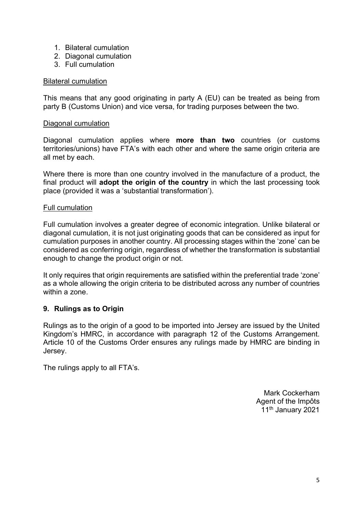- 1. Bilateral cumulation
- 2. Diagonal cumulation
- 3. Full cumulation

#### Bilateral cumulation

This means that any good originating in party A (EU) can be treated as being from party B (Customs Union) and vice versa, for trading purposes between the two.

#### Diagonal cumulation

Diagonal cumulation applies where more than two countries (or customs territories/unions) have FTA's with each other and where the same origin criteria are all met by each.

Where there is more than one country involved in the manufacture of a product, the final product will adopt the origin of the country in which the last processing took place (provided it was a 'substantial transformation').

#### Full cumulation

Full cumulation involves a greater degree of economic integration. Unlike bilateral or diagonal cumulation, it is not just originating goods that can be considered as input for cumulation purposes in another country. All processing stages within the 'zone' can be considered as conferring origin, regardless of whether the transformation is substantial enough to change the product origin or not.

It only requires that origin requirements are satisfied within the preferential trade 'zone' as a whole allowing the origin criteria to be distributed across any number of countries within a zone.

#### 9. Rulings as to Origin

Rulings as to the origin of a good to be imported into Jersey are issued by the United Kingdom's HMRC, in accordance with paragraph 12 of the Customs Arrangement. Article 10 of the Customs Order ensures any rulings made by HMRC are binding in Jersey.

The rulings apply to all FTA's.

Mark Cockerham Agent of the Impôts 11<sup>th</sup> January 2021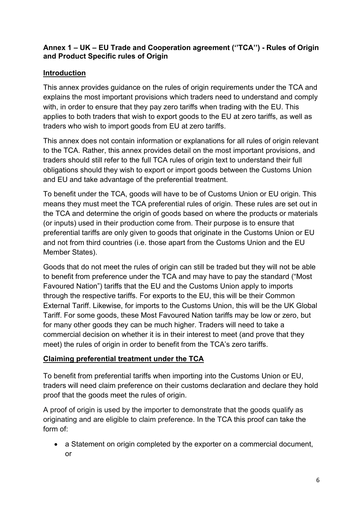## Annex 1 – UK – EU Trade and Cooperation agreement (''TCA'') - Rules of Origin and Product Specific rules of Origin

## Introduction

This annex provides guidance on the rules of origin requirements under the TCA and explains the most important provisions which traders need to understand and comply with, in order to ensure that they pay zero tariffs when trading with the EU. This applies to both traders that wish to export goods to the EU at zero tariffs, as well as traders who wish to import goods from EU at zero tariffs.

This annex does not contain information or explanations for all rules of origin relevant to the TCA. Rather, this annex provides detail on the most important provisions, and traders should still refer to the full TCA rules of origin text to understand their full obligations should they wish to export or import goods between the Customs Union and EU and take advantage of the preferential treatment.

To benefit under the TCA, goods will have to be of Customs Union or EU origin. This means they must meet the TCA preferential rules of origin. These rules are set out in the TCA and determine the origin of goods based on where the products or materials (or inputs) used in their production come from. Their purpose is to ensure that preferential tariffs are only given to goods that originate in the Customs Union or EU and not from third countries (i.e. those apart from the Customs Union and the EU Member States).

Goods that do not meet the rules of origin can still be traded but they will not be able to benefit from preference under the TCA and may have to pay the standard ("Most Favoured Nation") tariffs that the EU and the Customs Union apply to imports through the respective tariffs. For exports to the EU, this will be their Common External Tariff. Likewise, for imports to the Customs Union, this will be the UK Global Tariff. For some goods, these Most Favoured Nation tariffs may be low or zero, but for many other goods they can be much higher. Traders will need to take a commercial decision on whether it is in their interest to meet (and prove that they meet) the rules of origin in order to benefit from the TCA's zero tariffs.

## Claiming preferential treatment under the TCA

To benefit from preferential tariffs when importing into the Customs Union or EU, traders will need claim preference on their customs declaration and declare they hold proof that the goods meet the rules of origin.

A proof of origin is used by the importer to demonstrate that the goods qualify as originating and are eligible to claim preference. In the TCA this proof can take the form of:

• a Statement on origin completed by the exporter on a commercial document, or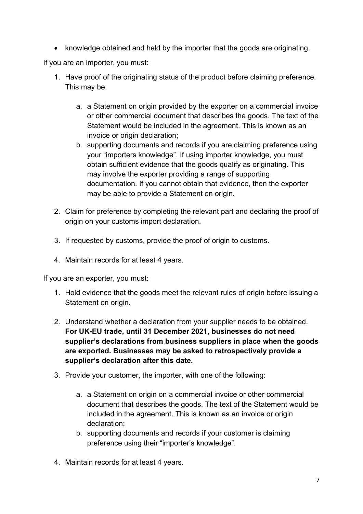• knowledge obtained and held by the importer that the goods are originating.

If you are an importer, you must:

- 1. Have proof of the originating status of the product before claiming preference. This may be:
	- a. a Statement on origin provided by the exporter on a commercial invoice or other commercial document that describes the goods. The text of the Statement would be included in the agreement. This is known as an invoice or origin declaration;
	- b. supporting documents and records if you are claiming preference using your "importers knowledge". If using importer knowledge, you must obtain sufficient evidence that the goods qualify as originating. This may involve the exporter providing a range of supporting documentation. If you cannot obtain that evidence, then the exporter may be able to provide a Statement on origin.
- 2. Claim for preference by completing the relevant part and declaring the proof of origin on your customs import declaration.
- 3. If requested by customs, provide the proof of origin to customs.
- 4. Maintain records for at least 4 years.

If you are an exporter, you must:

- 1. Hold evidence that the goods meet the relevant rules of origin before issuing a Statement on origin.
- 2. Understand whether a declaration from your supplier needs to be obtained. For UK-EU trade, until 31 December 2021, businesses do not need supplier's declarations from business suppliers in place when the goods are exported. Businesses may be asked to retrospectively provide a supplier's declaration after this date.
- 3. Provide your customer, the importer, with one of the following:
	- a. a Statement on origin on a commercial invoice or other commercial document that describes the goods. The text of the Statement would be included in the agreement. This is known as an invoice or origin declaration;
	- b. supporting documents and records if your customer is claiming preference using their "importer's knowledge".
- 4. Maintain records for at least 4 years.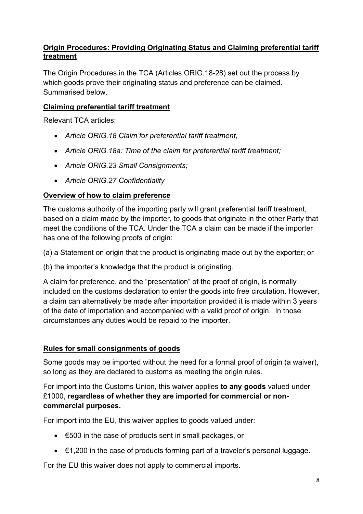## Origin Procedures: Providing Originating Status and Claiming preferential tariff **treatment**

The Origin Procedures in the TCA (Articles ORIG.18-28) set out the process by which goods prove their originating status and preference can be claimed. Summarised below.

## Claiming preferential tariff treatment

Relevant TCA articles:

- Article ORIG.18 Claim for preferential tariff treatment,
- Article ORIG.18a: Time of the claim for preferential tariff treatment;
- Article ORIG.23 Small Consignments;
- Article ORIG.27 Confidentiality

## Overview of how to claim preference

The customs authority of the importing party will grant preferential tariff treatment, based on a claim made by the importer, to goods that originate in the other Party that meet the conditions of the TCA. Under the TCA a claim can be made if the importer has one of the following proofs of origin:

(a) a Statement on origin that the product is originating made out by the exporter; or

(b) the importer's knowledge that the product is originating.

A claim for preference, and the "presentation" of the proof of origin, is normally included on the customs declaration to enter the goods into free circulation. However, a claim can alternatively be made after importation provided it is made within 3 years of the date of importation and accompanied with a valid proof of origin. In those circumstances any duties would be repaid to the importer.

### Rules for small consignments of goods

Some goods may be imported without the need for a formal proof of origin (a waiver), so long as they are declared to customs as meeting the origin rules.

For import into the Customs Union, this waiver applies to any goods valued under £1000, regardless of whether they are imported for commercial or noncommercial purposes.

For import into the EU, this waiver applies to goods valued under:

- €500 in the case of products sent in small packages, or
- €1,200 in the case of products forming part of a traveler's personal luggage.

For the EU this waiver does not apply to commercial imports.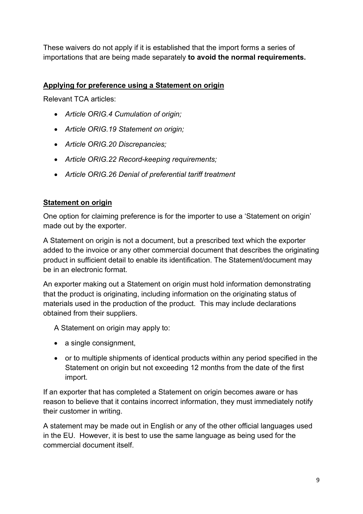These waivers do not apply if it is established that the import forms a series of importations that are being made separately to avoid the normal requirements.

## Applying for preference using a Statement on origin

Relevant TCA articles:

- Article ORIG.4 Cumulation of origin;
- Article ORIG.19 Statement on origin;
- Article ORIG.20 Discrepancies;
- Article ORIG.22 Record-keeping requirements;
- Article ORIG.26 Denial of preferential tariff treatment

## Statement on origin

One option for claiming preference is for the importer to use a 'Statement on origin' made out by the exporter.

A Statement on origin is not a document, but a prescribed text which the exporter added to the invoice or any other commercial document that describes the originating product in sufficient detail to enable its identification. The Statement/document may be in an electronic format.

An exporter making out a Statement on origin must hold information demonstrating that the product is originating, including information on the originating status of materials used in the production of the product. This may include declarations obtained from their suppliers.

A Statement on origin may apply to:

- a single consignment,
- or to multiple shipments of identical products within any period specified in the Statement on origin but not exceeding 12 months from the date of the first import.

If an exporter that has completed a Statement on origin becomes aware or has reason to believe that it contains incorrect information, they must immediately notify their customer in writing.

A statement may be made out in English or any of the other official languages used in the EU. However, it is best to use the same language as being used for the commercial document itself.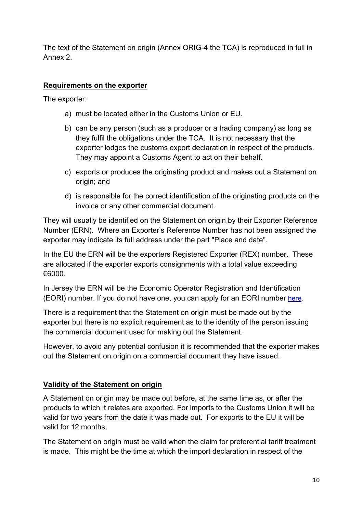The text of the Statement on origin (Annex ORIG-4 the TCA) is reproduced in full in Annex 2.

## Requirements on the exporter

The exporter:

- a) must be located either in the Customs Union or EU.
- b) can be any person (such as a producer or a trading company) as long as they fulfil the obligations under the TCA. It is not necessary that the exporter lodges the customs export declaration in respect of the products. They may appoint a Customs Agent to act on their behalf.
- c) exports or produces the originating product and makes out a Statement on origin; and
- d) is responsible for the correct identification of the originating products on the invoice or any other commercial document.

They will usually be identified on the Statement on origin by their Exporter Reference Number (ERN). Where an Exporter's Reference Number has not been assigned the exporter may indicate its full address under the part "Place and date".

In the EU the ERN will be the exporters Registered Exporter (REX) number. These are allocated if the exporter exports consignments with a total value exceeding €6000.

In Jersey the ERN will be the Economic Operator Registration and Identification (EORI) number. If you do not have one, you can apply for an EORI number here.

There is a requirement that the Statement on origin must be made out by the exporter but there is no explicit requirement as to the identity of the person issuing the commercial document used for making out the Statement.

However, to avoid any potential confusion it is recommended that the exporter makes out the Statement on origin on a commercial document they have issued.

### Validity of the Statement on origin

A Statement on origin may be made out before, at the same time as, or after the products to which it relates are exported. For imports to the Customs Union it will be valid for two years from the date it was made out. For exports to the EU it will be valid for 12 months.

The Statement on origin must be valid when the claim for preferential tariff treatment is made. This might be the time at which the import declaration in respect of the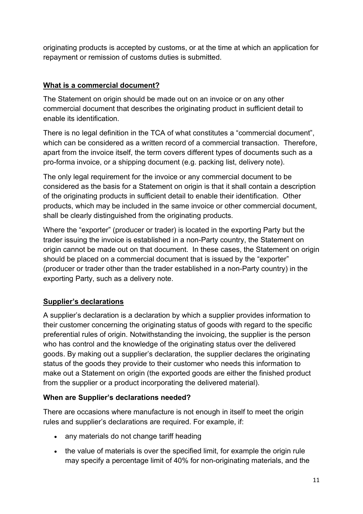originating products is accepted by customs, or at the time at which an application for repayment or remission of customs duties is submitted.

## What is a commercial document?

The Statement on origin should be made out on an invoice or on any other commercial document that describes the originating product in sufficient detail to enable its identification.

There is no legal definition in the TCA of what constitutes a "commercial document", which can be considered as a written record of a commercial transaction. Therefore, apart from the invoice itself, the term covers different types of documents such as a pro-forma invoice, or a shipping document (e.g. packing list, delivery note).

The only legal requirement for the invoice or any commercial document to be considered as the basis for a Statement on origin is that it shall contain a description of the originating products in sufficient detail to enable their identification. Other products, which may be included in the same invoice or other commercial document, shall be clearly distinguished from the originating products.

Where the "exporter" (producer or trader) is located in the exporting Party but the trader issuing the invoice is established in a non-Party country, the Statement on origin cannot be made out on that document. In these cases, the Statement on origin should be placed on a commercial document that is issued by the "exporter" (producer or trader other than the trader established in a non-Party country) in the exporting Party, such as a delivery note.

# Supplier's declarations

A supplier's declaration is a declaration by which a supplier provides information to their customer concerning the originating status of goods with regard to the specific preferential rules of origin. Notwithstanding the invoicing, the supplier is the person who has control and the knowledge of the originating status over the delivered goods. By making out a supplier's declaration, the supplier declares the originating status of the goods they provide to their customer who needs this information to make out a Statement on origin (the exported goods are either the finished product from the supplier or a product incorporating the delivered material).

## When are Supplier's declarations needed?

There are occasions where manufacture is not enough in itself to meet the origin rules and supplier's declarations are required. For example, if:

- any materials do not change tariff heading
- the value of materials is over the specified limit, for example the origin rule may specify a percentage limit of 40% for non-originating materials, and the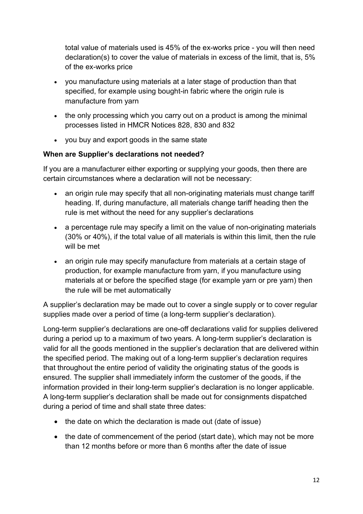total value of materials used is 45% of the ex-works price - you will then need declaration(s) to cover the value of materials in excess of the limit, that is, 5% of the ex-works price

- you manufacture using materials at a later stage of production than that specified, for example using bought-in fabric where the origin rule is manufacture from yarn
- the only processing which you carry out on a product is among the minimal processes listed in HMCR Notices 828, 830 and 832
- you buy and export goods in the same state

## When are Supplier's declarations not needed?

If you are a manufacturer either exporting or supplying your goods, then there are certain circumstances where a declaration will not be necessary:

- an origin rule may specify that all non-originating materials must change tariff heading. If, during manufacture, all materials change tariff heading then the rule is met without the need for any supplier's declarations
- a percentage rule may specify a limit on the value of non-originating materials (30% or 40%), if the total value of all materials is within this limit, then the rule will be met
- an origin rule may specify manufacture from materials at a certain stage of production, for example manufacture from yarn, if you manufacture using materials at or before the specified stage (for example yarn or pre yarn) then the rule will be met automatically

A supplier's declaration may be made out to cover a single supply or to cover regular supplies made over a period of time (a long-term supplier's declaration).

Long-term supplier's declarations are one-off declarations valid for supplies delivered during a period up to a maximum of two years. A long-term supplier's declaration is valid for all the goods mentioned in the supplier's declaration that are delivered within the specified period. The making out of a long-term supplier's declaration requires that throughout the entire period of validity the originating status of the goods is ensured. The supplier shall immediately inform the customer of the goods, if the information provided in their long-term supplier's declaration is no longer applicable. A long-term supplier's declaration shall be made out for consignments dispatched during a period of time and shall state three dates:

- the date on which the declaration is made out (date of issue)
- the date of commencement of the period (start date), which may not be more than 12 months before or more than 6 months after the date of issue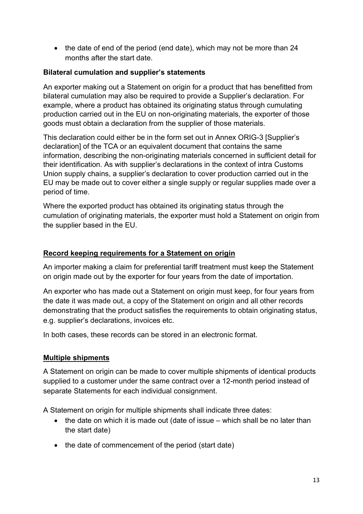• the date of end of the period (end date), which may not be more than 24 months after the start date.

## Bilateral cumulation and supplier's statements

An exporter making out a Statement on origin for a product that has benefitted from bilateral cumulation may also be required to provide a Supplier's declaration. For example, where a product has obtained its originating status through cumulating production carried out in the EU on non-originating materials, the exporter of those goods must obtain a declaration from the supplier of those materials.

This declaration could either be in the form set out in Annex ORIG-3 [Supplier's declaration] of the TCA or an equivalent document that contains the same information, describing the non-originating materials concerned in sufficient detail for their identification. As with supplier's declarations in the context of intra Customs Union supply chains, a supplier's declaration to cover production carried out in the EU may be made out to cover either a single supply or regular supplies made over a period of time.

Where the exported product has obtained its originating status through the cumulation of originating materials, the exporter must hold a Statement on origin from the supplier based in the EU.

## Record keeping requirements for a Statement on origin

An importer making a claim for preferential tariff treatment must keep the Statement on origin made out by the exporter for four years from the date of importation.

An exporter who has made out a Statement on origin must keep, for four years from the date it was made out, a copy of the Statement on origin and all other records demonstrating that the product satisfies the requirements to obtain originating status, e.g. supplier's declarations, invoices etc.

In both cases, these records can be stored in an electronic format.

### Multiple shipments

A Statement on origin can be made to cover multiple shipments of identical products supplied to a customer under the same contract over a 12-month period instead of separate Statements for each individual consignment.

A Statement on origin for multiple shipments shall indicate three dates:

- $\bullet$  the date on which it is made out (date of issue which shall be no later than the start date)
- the date of commencement of the period (start date)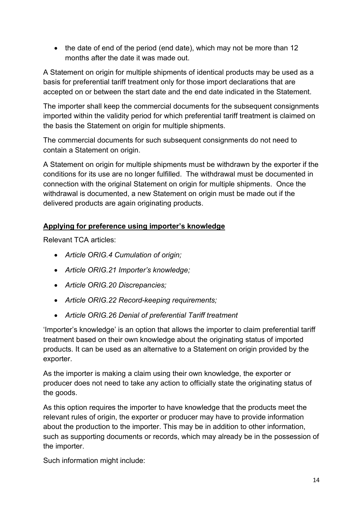• the date of end of the period (end date), which may not be more than 12 months after the date it was made out.

A Statement on origin for multiple shipments of identical products may be used as a basis for preferential tariff treatment only for those import declarations that are accepted on or between the start date and the end date indicated in the Statement.

The importer shall keep the commercial documents for the subsequent consignments imported within the validity period for which preferential tariff treatment is claimed on the basis the Statement on origin for multiple shipments.

The commercial documents for such subsequent consignments do not need to contain a Statement on origin.

A Statement on origin for multiple shipments must be withdrawn by the exporter if the conditions for its use are no longer fulfilled. The withdrawal must be documented in connection with the original Statement on origin for multiple shipments. Once the withdrawal is documented, a new Statement on origin must be made out if the delivered products are again originating products.

# Applying for preference using importer's knowledge

Relevant TCA articles:

- Article ORIG.4 Cumulation of origin;
- Article ORIG.21 Importer's knowledge;
- Article ORIG.20 Discrepancies;
- Article ORIG.22 Record-keeping requirements;
- Article ORIG.26 Denial of preferential Tariff treatment

'Importer's knowledge' is an option that allows the importer to claim preferential tariff treatment based on their own knowledge about the originating status of imported products. It can be used as an alternative to a Statement on origin provided by the exporter.

As the importer is making a claim using their own knowledge, the exporter or producer does not need to take any action to officially state the originating status of the goods.

As this option requires the importer to have knowledge that the products meet the relevant rules of origin, the exporter or producer may have to provide information about the production to the importer. This may be in addition to other information, such as supporting documents or records, which may already be in the possession of the importer.

Such information might include: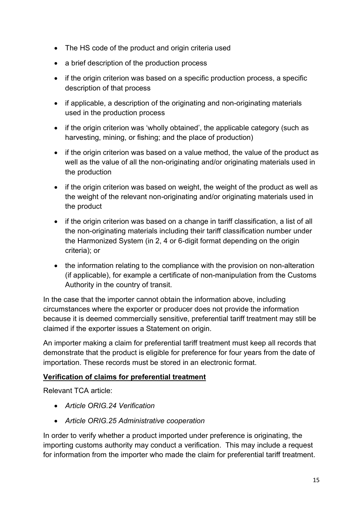- The HS code of the product and origin criteria used
- a brief description of the production process
- if the origin criterion was based on a specific production process, a specific description of that process
- if applicable, a description of the originating and non-originating materials used in the production process
- if the origin criterion was 'wholly obtained', the applicable category (such as harvesting, mining, or fishing; and the place of production)
- if the origin criterion was based on a value method, the value of the product as well as the value of all the non-originating and/or originating materials used in the production
- if the origin criterion was based on weight, the weight of the product as well as the weight of the relevant non-originating and/or originating materials used in the product
- if the origin criterion was based on a change in tariff classification, a list of all the non-originating materials including their tariff classification number under the Harmonized System (in 2, 4 or 6-digit format depending on the origin criteria); or
- the information relating to the compliance with the provision on non-alteration (if applicable), for example a certificate of non-manipulation from the Customs Authority in the country of transit.

In the case that the importer cannot obtain the information above, including circumstances where the exporter or producer does not provide the information because it is deemed commercially sensitive, preferential tariff treatment may still be claimed if the exporter issues a Statement on origin.

An importer making a claim for preferential tariff treatment must keep all records that demonstrate that the product is eligible for preference for four years from the date of importation. These records must be stored in an electronic format.

## Verification of claims for preferential treatment

Relevant TCA article:

- Article ORIG 24 Verification
- Article ORIG.25 Administrative cooperation

In order to verify whether a product imported under preference is originating, the importing customs authority may conduct a verification. This may include a request for information from the importer who made the claim for preferential tariff treatment.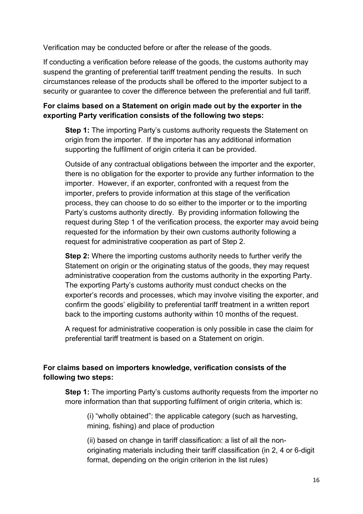Verification may be conducted before or after the release of the goods.

If conducting a verification before release of the goods, the customs authority may suspend the granting of preferential tariff treatment pending the results. In such circumstances release of the products shall be offered to the importer subject to a security or guarantee to cover the difference between the preferential and full tariff.

## For claims based on a Statement on origin made out by the exporter in the exporting Party verification consists of the following two steps:

**Step 1:** The importing Party's customs authority requests the Statement on origin from the importer. If the importer has any additional information supporting the fulfilment of origin criteria it can be provided.

Outside of any contractual obligations between the importer and the exporter, there is no obligation for the exporter to provide any further information to the importer. However, if an exporter, confronted with a request from the importer, prefers to provide information at this stage of the verification process, they can choose to do so either to the importer or to the importing Party's customs authority directly. By providing information following the request during Step 1 of the verification process, the exporter may avoid being requested for the information by their own customs authority following a request for administrative cooperation as part of Step 2.

**Step 2:** Where the importing customs authority needs to further verify the Statement on origin or the originating status of the goods, they may request administrative cooperation from the customs authority in the exporting Party. The exporting Party's customs authority must conduct checks on the exporter's records and processes, which may involve visiting the exporter, and confirm the goods' eligibility to preferential tariff treatment in a written report back to the importing customs authority within 10 months of the request.

A request for administrative cooperation is only possible in case the claim for preferential tariff treatment is based on a Statement on origin.

## For claims based on importers knowledge, verification consists of the following two steps:

Step 1: The importing Party's customs authority requests from the importer no more information than that supporting fulfilment of origin criteria, which is:

(i) "wholly obtained": the applicable category (such as harvesting, mining, fishing) and place of production

(ii) based on change in tariff classification: a list of all the nonoriginating materials including their tariff classification (in 2, 4 or 6-digit format, depending on the origin criterion in the list rules)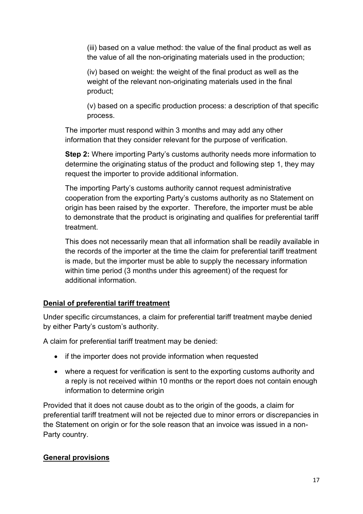(iii) based on a value method: the value of the final product as well as the value of all the non-originating materials used in the production;

(iv) based on weight: the weight of the final product as well as the weight of the relevant non-originating materials used in the final product;

(v) based on a specific production process: a description of that specific process.

The importer must respond within 3 months and may add any other information that they consider relevant for the purpose of verification.

Step 2: Where importing Party's customs authority needs more information to determine the originating status of the product and following step 1, they may request the importer to provide additional information.

The importing Party's customs authority cannot request administrative cooperation from the exporting Party's customs authority as no Statement on origin has been raised by the exporter. Therefore, the importer must be able to demonstrate that the product is originating and qualifies for preferential tariff treatment.

This does not necessarily mean that all information shall be readily available in the records of the importer at the time the claim for preferential tariff treatment is made, but the importer must be able to supply the necessary information within time period (3 months under this agreement) of the request for additional information.

# Denial of preferential tariff treatment

Under specific circumstances, a claim for preferential tariff treatment maybe denied by either Party's custom's authority.

A claim for preferential tariff treatment may be denied:

- if the importer does not provide information when requested
- where a request for verification is sent to the exporting customs authority and a reply is not received within 10 months or the report does not contain enough information to determine origin

Provided that it does not cause doubt as to the origin of the goods, a claim for preferential tariff treatment will not be rejected due to minor errors or discrepancies in the Statement on origin or for the sole reason that an invoice was issued in a non-Party country.

## General provisions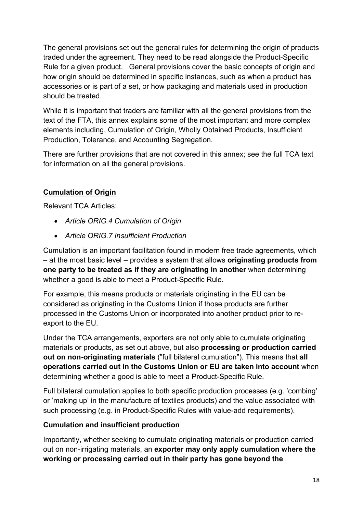The general provisions set out the general rules for determining the origin of products traded under the agreement. They need to be read alongside the Product-Specific Rule for a given product. General provisions cover the basic concepts of origin and how origin should be determined in specific instances, such as when a product has accessories or is part of a set, or how packaging and materials used in production should be treated.

While it is important that traders are familiar with all the general provisions from the text of the FTA, this annex explains some of the most important and more complex elements including, Cumulation of Origin, Wholly Obtained Products, Insufficient Production, Tolerance, and Accounting Segregation.

There are further provisions that are not covered in this annex; see the full TCA text for information on all the general provisions.

# Cumulation of Origin

Relevant TCA Articles:

- Article ORIG.4 Cumulation of Origin
- Article ORIG.7 Insufficient Production

Cumulation is an important facilitation found in modern free trade agreements, which – at the most basic level – provides a system that allows originating products from one party to be treated as if they are originating in another when determining whether a good is able to meet a Product-Specific Rule.

For example, this means products or materials originating in the EU can be considered as originating in the Customs Union if those products are further processed in the Customs Union or incorporated into another product prior to reexport to the EU.

Under the TCA arrangements, exporters are not only able to cumulate originating materials or products, as set out above, but also processing or production carried out on non-originating materials ("full bilateral cumulation"). This means that all operations carried out in the Customs Union or EU are taken into account when determining whether a good is able to meet a Product-Specific Rule.

Full bilateral cumulation applies to both specific production processes (e.g. 'combing' or 'making up' in the manufacture of textiles products) and the value associated with such processing (e.g. in Product-Specific Rules with value-add requirements).

## Cumulation and insufficient production

Importantly, whether seeking to cumulate originating materials or production carried out on non-irrigating materials, an exporter may only apply cumulation where the working or processing carried out in their party has gone beyond the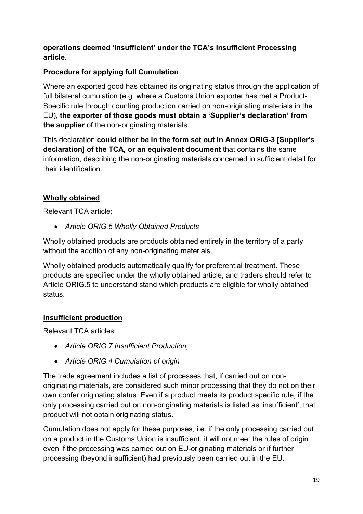## operations deemed 'insufficient' under the TCA's Insufficient Processing article.

# Procedure for applying full Cumulation

Where an exported good has obtained its originating status through the application of full bilateral cumulation (e.g. where a Customs Union exporter has met a Product-Specific rule through counting production carried on non-originating materials in the EU), the exporter of those goods must obtain a 'Supplier's declaration' from the supplier of the non-originating materials.

This declaration could either be in the form set out in Annex ORIG-3 [Supplier's declaration] of the TCA, or an equivalent document that contains the same information, describing the non-originating materials concerned in sufficient detail for their identification.

# Wholly obtained

Relevant TCA article:

Article ORIG.5 Wholly Obtained Products

Wholly obtained products are products obtained entirely in the territory of a party without the addition of any non-originating materials.

Wholly obtained products automatically qualify for preferential treatment. These products are specified under the wholly obtained article, and traders should refer to Article ORIG.5 to understand stand which products are eligible for wholly obtained status.

## Insufficient production

Relevant TCA articles:

- Article ORIG.7 Insufficient Production;
- Article ORIG.4 Cumulation of origin

The trade agreement includes a list of processes that, if carried out on nonoriginating materials, are considered such minor processing that they do not on their own confer originating status. Even if a product meets its product specific rule, if the only processing carried out on non-originating materials is listed as 'insufficient', that product will not obtain originating status.

Cumulation does not apply for these purposes, i.e. if the only processing carried out on a product in the Customs Union is insufficient, it will not meet the rules of origin even if the processing was carried out on EU-originating materials or if further processing (beyond insufficient) had previously been carried out in the EU.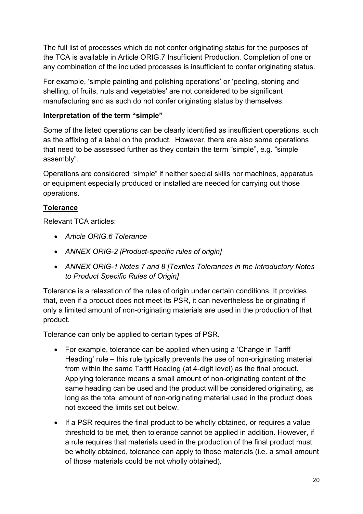The full list of processes which do not confer originating status for the purposes of the TCA is available in Article ORIG.7 Insufficient Production. Completion of one or any combination of the included processes is insufficient to confer originating status.

For example, 'simple painting and polishing operations' or 'peeling, stoning and shelling, of fruits, nuts and vegetables' are not considered to be significant manufacturing and as such do not confer originating status by themselves.

## Interpretation of the term "simple"

Some of the listed operations can be clearly identified as insufficient operations, such as the affixing of a label on the product. However, there are also some operations that need to be assessed further as they contain the term "simple", e.g. "simple assembly".

Operations are considered "simple" if neither special skills nor machines, apparatus or equipment especially produced or installed are needed for carrying out those operations.

## **Tolerance**

Relevant TCA articles:

- Article ORIG.6 Tolerance
- ANNEX ORIG-2 [Product-specific rules of origin]
- ANNEX ORIG-1 Notes 7 and 8 [Textiles Tolerances in the Introductory Notes to Product Specific Rules of Origin]

Tolerance is a relaxation of the rules of origin under certain conditions. It provides that, even if a product does not meet its PSR, it can nevertheless be originating if only a limited amount of non-originating materials are used in the production of that product.

Tolerance can only be applied to certain types of PSR.

- For example, tolerance can be applied when using a 'Change in Tariff Heading' rule – this rule typically prevents the use of non-originating material from within the same Tariff Heading (at 4-digit level) as the final product. Applying tolerance means a small amount of non-originating content of the same heading can be used and the product will be considered originating, as long as the total amount of non-originating material used in the product does not exceed the limits set out below.
- If a PSR requires the final product to be wholly obtained, or requires a value threshold to be met, then tolerance cannot be applied in addition. However, if a rule requires that materials used in the production of the final product must be wholly obtained, tolerance can apply to those materials (i.e. a small amount of those materials could be not wholly obtained).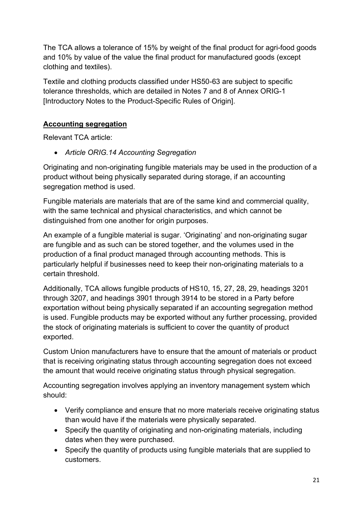The TCA allows a tolerance of 15% by weight of the final product for agri-food goods and 10% by value of the value the final product for manufactured goods (except clothing and textiles).

Textile and clothing products classified under HS50-63 are subject to specific tolerance thresholds, which are detailed in Notes 7 and 8 of Annex ORIG-1 [Introductory Notes to the Product-Specific Rules of Origin].

# Accounting segregation

Relevant TCA article:

Article ORIG.14 Accounting Segregation

Originating and non-originating fungible materials may be used in the production of a product without being physically separated during storage, if an accounting segregation method is used.

Fungible materials are materials that are of the same kind and commercial quality, with the same technical and physical characteristics, and which cannot be distinguished from one another for origin purposes.

An example of a fungible material is sugar. 'Originating' and non-originating sugar are fungible and as such can be stored together, and the volumes used in the production of a final product managed through accounting methods. This is particularly helpful if businesses need to keep their non-originating materials to a certain threshold.

Additionally, TCA allows fungible products of HS10, 15, 27, 28, 29, headings 3201 through 3207, and headings 3901 through 3914 to be stored in a Party before exportation without being physically separated if an accounting segregation method is used. Fungible products may be exported without any further processing, provided the stock of originating materials is sufficient to cover the quantity of product exported.

Custom Union manufacturers have to ensure that the amount of materials or product that is receiving originating status through accounting segregation does not exceed the amount that would receive originating status through physical segregation.

Accounting segregation involves applying an inventory management system which should:

- Verify compliance and ensure that no more materials receive originating status than would have if the materials were physically separated.
- Specify the quantity of originating and non-originating materials, including dates when they were purchased.
- Specify the quantity of products using fungible materials that are supplied to customers.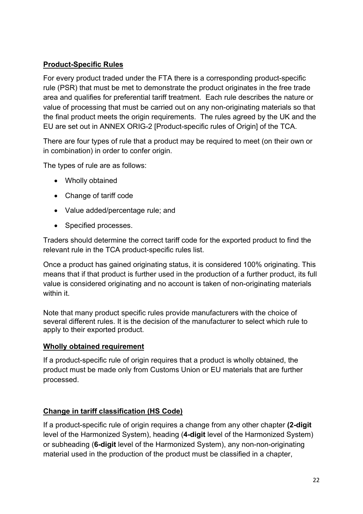# Product-Specific Rules

For every product traded under the FTA there is a corresponding product-specific rule (PSR) that must be met to demonstrate the product originates in the free trade area and qualifies for preferential tariff treatment. Each rule describes the nature or value of processing that must be carried out on any non-originating materials so that the final product meets the origin requirements. The rules agreed by the UK and the EU are set out in ANNEX ORIG-2 [Product-specific rules of Origin] of the TCA.

There are four types of rule that a product may be required to meet (on their own or in combination) in order to confer origin.

The types of rule are as follows:

- Wholly obtained
- Change of tariff code
- Value added/percentage rule; and
- Specified processes.

Traders should determine the correct tariff code for the exported product to find the relevant rule in the TCA product-specific rules list.

Once a product has gained originating status, it is considered 100% originating. This means that if that product is further used in the production of a further product, its full value is considered originating and no account is taken of non-originating materials within it

Note that many product specific rules provide manufacturers with the choice of several different rules. It is the decision of the manufacturer to select which rule to apply to their exported product.

## Wholly obtained requirement

If a product-specific rule of origin requires that a product is wholly obtained, the product must be made only from Customs Union or EU materials that are further processed.

## Change in tariff classification (HS Code)

If a product-specific rule of origin requires a change from any other chapter (2-digit level of the Harmonized System), heading (4-digit level of the Harmonized System) or subheading (6-digit level of the Harmonized System), any non-non-originating material used in the production of the product must be classified in a chapter,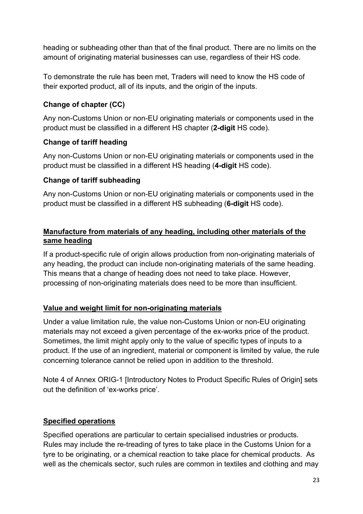heading or subheading other than that of the final product. There are no limits on the amount of originating material businesses can use, regardless of their HS code.

To demonstrate the rule has been met, Traders will need to know the HS code of their exported product, all of its inputs, and the origin of the inputs.

# Change of chapter (CC)

Any non-Customs Union or non-EU originating materials or components used in the product must be classified in a different HS chapter (2-digit HS code).

# Change of tariff heading

Any non-Customs Union or non-EU originating materials or components used in the product must be classified in a different HS heading (4-digit HS code).

## Change of tariff subheading

Any non-Customs Union or non-EU originating materials or components used in the product must be classified in a different HS subheading (6-digit HS code).

## Manufacture from materials of any heading, including other materials of the same heading

If a product-specific rule of origin allows production from non-originating materials of any heading, the product can include non-originating materials of the same heading. This means that a change of heading does not need to take place. However, processing of non-originating materials does need to be more than insufficient.

## Value and weight limit for non-originating materials

Under a value limitation rule, the value non-Customs Union or non-EU originating materials may not exceed a given percentage of the ex-works price of the product. Sometimes, the limit might apply only to the value of specific types of inputs to a product. If the use of an ingredient, material or component is limited by value, the rule concerning tolerance cannot be relied upon in addition to the threshold.

Note 4 of Annex ORIG-1 [Introductory Notes to Product Specific Rules of Origin] sets out the definition of 'ex-works price'.

# Specified operations

Specified operations are particular to certain specialised industries or products. Rules may include the re-treading of tyres to take place in the Customs Union for a tyre to be originating, or a chemical reaction to take place for chemical products. As well as the chemicals sector, such rules are common in textiles and clothing and may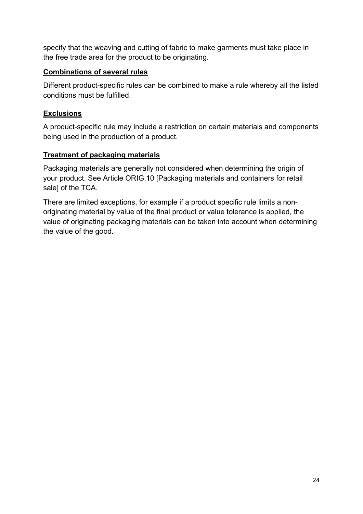specify that the weaving and cutting of fabric to make garments must take place in the free trade area for the product to be originating.

## Combinations of several rules

Different product-specific rules can be combined to make a rule whereby all the listed conditions must be fulfilled.

## Exclusions

A product-specific rule may include a restriction on certain materials and components being used in the production of a product.

## Treatment of packaging materials

Packaging materials are generally not considered when determining the origin of your product. See Article ORIG.10 [Packaging materials and containers for retail sale] of the TCA.

There are limited exceptions, for example if a product specific rule limits a nonoriginating material by value of the final product or value tolerance is applied, the value of originating packaging materials can be taken into account when determining the value of the good.